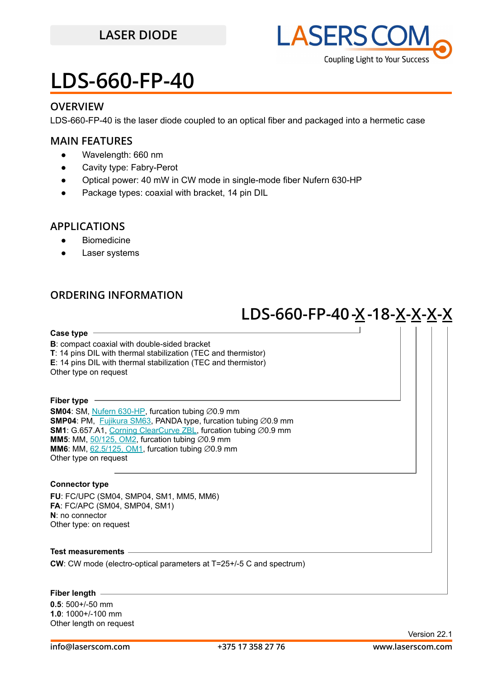

### **OVERVIEW**

LDS-660-FP-40 is the laser diode coupled to an optical fiber and packaged into a hermetic case

#### **MAIN FEATURES**

- Wavelength: 660 nm
- Cavity type: Fabry-Perot
- Optical power: 40 mW in CW mode in single-mode fiber Nufern 630-HP
- Package types: coaxial with bracket, 14 pin DIL

#### **APPLICATIONS**

- Biomedicine
- **Laser systems**

### **ORDERING INFORMATION**

## **- LDS-660-FP-40-X-18 X-X-X-X**

**Case type B**: compact coaxial with double-sided bracket **T**: 14 pins DIL with thermal stabilization (TEC and thermistor) **E**: 14 pins DIL with thermal stabilization (TEC and thermistor) Other type on request **Fiber type SM04**: SM, [Nufern 630-HP,](https://drive.google.com/file/d/12j5dGqxbssZEcfLVHgwBzsAFk-iMW5Xv/view?usp=sharing) furcation tubing ∅0.9 mm **SMP04**: PM, [Fujikura SM63](https://drive.google.com/file/d/1dCMTXQjFu8DDh8mAv9fO-URwBNrg9t2w/view?usp=sharing), PANDA type, furcation tubing ∅0.9 mm **SM1**: G.657.A1, [Corning ClearCurve ZBL,](https://drive.google.com/file/d/1BnScs4F0ApGayHF4MQJvm8phLaEPHUV0/view?usp=sharing) furcation tubing ∅0.9 mm **MM5**: MM, [50/125, OM2,](https://drive.google.com/file/d/1qdrFbkj0z2RSaUBupr27Z7mpeH-sMeyX/view?usp=sharing) furcation tubing ⊘0.9 mm **MM6**: MM,  $62.5/125$ , OM1, furcation tubing  $\varnothing$ 0.9 mm Other type on request **Connector type FU**: FC/UPC (SM04, SMP04, SM1, MM5, MM6) **FA**: FC/APC (SM04, SMP04, SM1) **N**: no connector Other type: on request **Test measurements CW**: CW mode (electro-optical parameters at T=25+/-5 C and spectrum) **Fiber length**

**0.5**: 500+/-50 mm **1.0**: 1000+/-100 mm Other length on request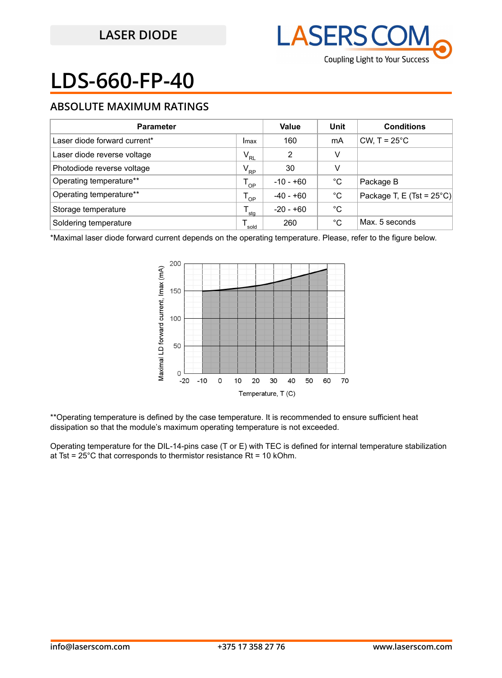

### **ABSOLUTE MAXIMUM RATINGS**

| <b>Parameter</b>             |              | Value       | Unit | <b>Conditions</b>                   |
|------------------------------|--------------|-------------|------|-------------------------------------|
| Laser diode forward current* | Imax         | 160         | mA   | CW, $T = 25^{\circ}$ C              |
| Laser diode reverse voltage  | $V_{RL}$     | 2           | v    |                                     |
| Photodiode reverse voltage   | $V_{\rm RP}$ | 30          | v    |                                     |
| Operating temperature**      | $T_{OP}$     | $-10 - +60$ | °C   | Package B                           |
| Operating temperature**      | $T_{OP}$     | $-40 - +60$ | °C   | Package T, E (Tst = $25^{\circ}$ C) |
| Storage temperature          | sta          | $-20 - +60$ | °C   |                                     |
| Soldering temperature        | sold         | 260         | °C   | Max. 5 seconds                      |

\*Maximal laser diode forward current depends on the operating temperature. Please, refer to the figure below.



\*\*Operating temperature is defined by the case temperature. It is recommended to ensure sufficient heat dissipation so that the module's maximum operating temperature is not exceeded.

Operating temperature for the DIL-14-pins case (T or E) with TEC is defined for internal temperature stabilization at Tst =  $25^{\circ}$ C that corresponds to thermistor resistance Rt = 10 kOhm.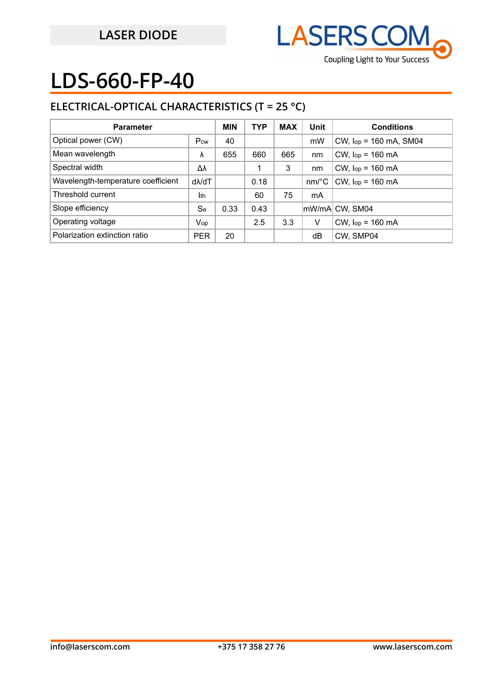

## **ELECTRICAL-OPTICAL CHARACTERISTICS (T = 25 °C)**

| <b>Parameter</b>                   |                   | <b>MIN</b> | <b>TYP</b> | <b>MAX</b> | Unit     | <b>Conditions</b>           |
|------------------------------------|-------------------|------------|------------|------------|----------|-----------------------------|
| Optical power (CW)                 | Pcw               | 40         |            |            | mW       | $CW$ , $lop = 160$ mA, SM04 |
| Mean wavelength                    | λ                 | 655        | 660        | 665        | nm       | $CW$ , $lop = 160$ mA       |
| Spectral width                     | Δλ                |            |            | 3          | nm       | $CW$ , $lop = 160$ mA       |
| Wavelength-temperature coefficient | d <sub>N</sub> dT |            | 0.18       |            | $nm$ /°C | $CW$ , $lop = 160$ mA       |
| Threshold current                  | Ith               |            | 60         | 75         | mA       |                             |
| Slope efficiency                   | Se                | 0.33       | 0.43       |            |          | mW/mA CW, SM04              |
| Operating voltage                  | Vop               |            | 2.5        | 3.3        | V        | $CW$ , $lop = 160$ mA       |
| Polarization extinction ratio      | <b>PER</b>        | 20         |            |            | dB       | CW, SMP04                   |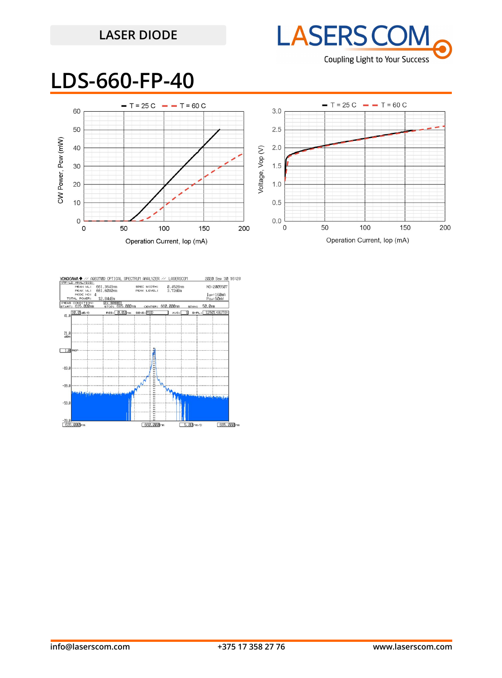## **LASER DIODE**



## **LDS-660-FP-40**



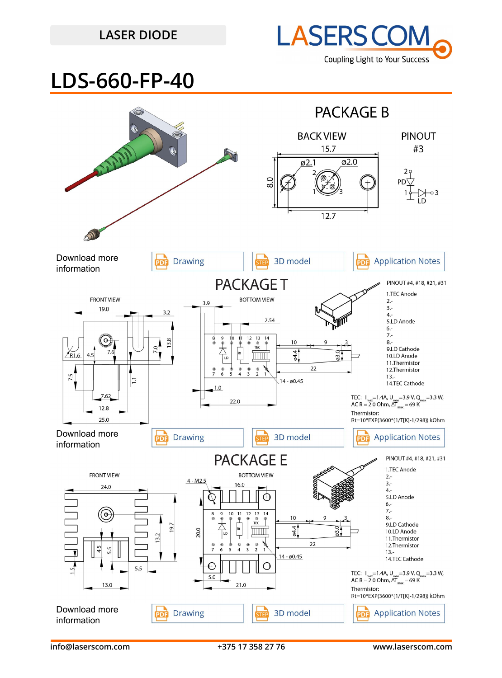## **LASER DIODE**



## **LDS-660-FP-40**